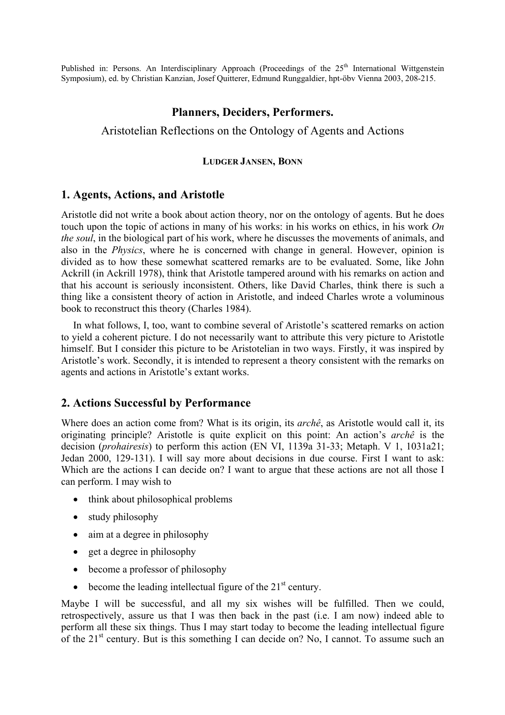Published in: Persons. An Interdisciplinary Approach (Proceedings of the 25<sup>th</sup> International Wittgenstein Symposium), ed. by Christian Kanzian, Josef Quitterer, Edmund Runggaldier, hpt-öbv Vienna 2003, 208-215.

## **Planners, Deciders, Performers.**

# Aristotelian Reflections on the Ontology of Agents and Actions

#### **LUDGER JANSEN, BONN**

#### **1. Agents, Actions, and Aristotle**

Aristotle did not write a book about action theory, nor on the ontology of agents. But he does touch upon the topic of actions in many of his works: in his works on ethics, in his work *On the soul*, in the biological part of his work, where he discusses the movements of animals, and also in the *Physics*, where he is concerned with change in general. However, opinion is divided as to how these somewhat scattered remarks are to be evaluated. Some, like John Ackrill (in Ackrill 1978), think that Aristotle tampered around with his remarks on action and that his account is seriously inconsistent. Others, like David Charles, think there is such a thing like a consistent theory of action in Aristotle, and indeed Charles wrote a voluminous book to reconstruct this theory (Charles 1984).

In what follows, I, too, want to combine several of Aristotle's scattered remarks on action to yield a coherent picture. I do not necessarily want to attribute this very picture to Aristotle himself. But I consider this picture to be Aristotelian in two ways. Firstly, it was inspired by Aristotle's work. Secondly, it is intended to represent a theory consistent with the remarks on agents and actions in Aristotle's extant works.

#### **2. Actions Successful by Performance**

Where does an action come from? What is its origin, its *archê*, as Aristotle would call it, its originating principle? Aristotle is quite explicit on this point: An action's *archê* is the decision (*prohairesis*) to perform this action (EN VI, 1139a 31-33; Metaph. V 1, 1031a21; Jedan 2000, 129-131). I will say more about decisions in due course. First I want to ask: Which are the actions I can decide on? I want to argue that these actions are not all those I can perform. I may wish to

- think about philosophical problems
- study philosophy
- aim at a degree in philosophy
- get a degree in philosophy
- become a professor of philosophy
- become the leading intellectual figure of the  $21<sup>st</sup>$  century.

Maybe I will be successful, and all my six wishes will be fulfilled. Then we could, retrospectively, assure us that I was then back in the past (i.e. I am now) indeed able to perform all these six things. Thus I may start today to become the leading intellectual figure of the 21<sup>st</sup> century. But is this something I can decide on? No, I cannot. To assume such an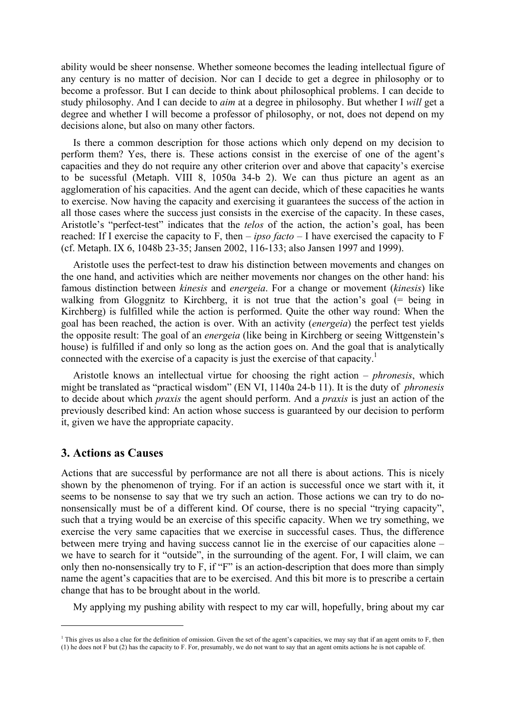ability would be sheer nonsense. Whether someone becomes the leading intellectual figure of any century is no matter of decision. Nor can I decide to get a degree in philosophy or to become a professor. But I can decide to think about philosophical problems. I can decide to study philosophy. And I can decide to *aim* at a degree in philosophy. But whether I *will* get a degree and whether I will become a professor of philosophy, or not, does not depend on my decisions alone, but also on many other factors.

Is there a common description for those actions which only depend on my decision to perform them? Yes, there is. These actions consist in the exercise of one of the agent's capacities and they do not require any other criterion over and above that capacity's exercise to be sucessful (Metaph. VIII 8, 1050a 34-b 2). We can thus picture an agent as an agglomeration of his capacities. And the agent can decide, which of these capacities he wants to exercise. Now having the capacity and exercising it guarantees the success of the action in all those cases where the success just consists in the exercise of the capacity. In these cases, Aristotle's "perfect-test" indicates that the *telos* of the action, the action's goal, has been reached: If I exercise the capacity to F, then – *ipso facto* – I have exercised the capacity to F (cf. Metaph. IX 6, 1048b 23-35; Jansen 2002, 116-133; also Jansen 1997 and 1999).

Aristotle uses the perfect-test to draw his distinction between movements and changes on the one hand, and activities which are neither movements nor changes on the other hand: his famous distinction between *kinesis* and *energeia*. For a change or movement (*kinesis*) like walking from Gloggnitz to Kirchberg, it is not true that the action's goal (= being in Kirchberg) is fulfilled while the action is performed. Quite the other way round: When the goal has been reached, the action is over. With an activity (*energeia*) the perfect test yields the opposite result: The goal of an *energeia* (like being in Kirchberg or seeing Wittgenstein's house) is fulfilled if and only so long as the action goes on. And the goal that is analytically connected with the exercise of a capacity is just the exercise of that capacity.<sup>1</sup>

Aristotle knows an intellectual virtue for choosing the right action – *phronesis*, which might be translated as "practical wisdom" (EN VI, 1140a 24-b 11). It is the duty of *phronesis* to decide about which *praxis* the agent should perform. And a *praxis* is just an action of the previously described kind: An action whose success is guaranteed by our decision to perform it, given we have the appropriate capacity.

#### **3. Actions as Causes**

 $\overline{a}$ 

Actions that are successful by performance are not all there is about actions. This is nicely shown by the phenomenon of trying. For if an action is successful once we start with it, it seems to be nonsense to say that we try such an action. Those actions we can try to do nononsensically must be of a different kind. Of course, there is no special "trying capacity", such that a trying would be an exercise of this specific capacity. When we try something, we exercise the very same capacities that we exercise in successful cases. Thus, the difference between mere trying and having success cannot lie in the exercise of our capacities alone – we have to search for it "outside", in the surrounding of the agent. For, I will claim, we can only then no-nonsensically try to F, if "F" is an action-description that does more than simply name the agent's capacities that are to be exercised. And this bit more is to prescribe a certain change that has to be brought about in the world.

My applying my pushing ability with respect to my car will, hopefully, bring about my car

<sup>&</sup>lt;sup>1</sup> This gives us also a clue for the definition of omission. Given the set of the agent's capacities, we may say that if an agent omits to F, then (1) he does not F but (2) has the capacity to F. For, presumably, we do not want to say that an agent omits actions he is not capable of.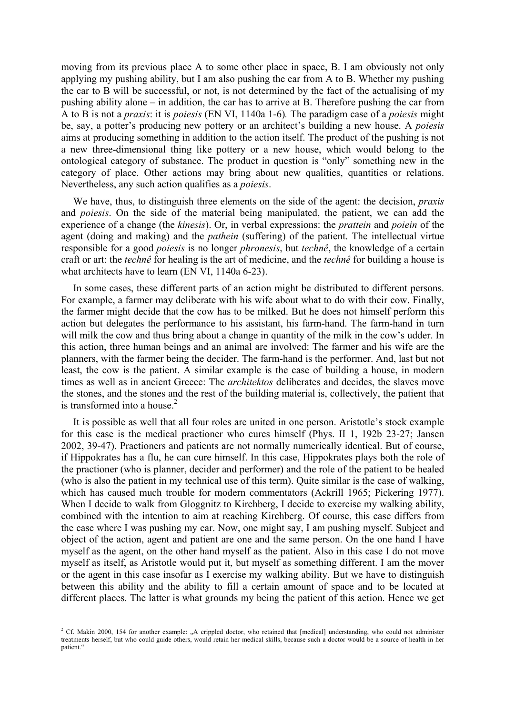moving from its previous place A to some other place in space, B. I am obviously not only applying my pushing ability, but I am also pushing the car from A to B. Whether my pushing the car to B will be successful, or not, is not determined by the fact of the actualising of my pushing ability alone – in addition, the car has to arrive at B. Therefore pushing the car from A to B is not a *praxis*: it is *poiesis* (EN VI, 1140a 1-6)*.* The paradigm case of a *poiesis* might be, say, a potter's producing new pottery or an architect's building a new house. A *poiesis* aims at producing something in addition to the action itself. The product of the pushing is not a new three-dimensional thing like pottery or a new house, which would belong to the ontological category of substance. The product in question is "only" something new in the category of place. Other actions may bring about new qualities, quantities or relations. Nevertheless, any such action qualifies as a *poiesis*.

We have, thus, to distinguish three elements on the side of the agent: the decision, *praxis* and *poiesis*. On the side of the material being manipulated, the patient, we can add the experience of a change (the *kinesis*). Or, in verbal expressions: the *prattein* and *poiein* of the agent (doing and making) and the *pathein* (suffering) of the patient. The intellectual virtue responsible for a good *poiesis* is no longer *phronesis*, but *technê*, the knowledge of a certain craft or art: the *technê* for healing is the art of medicine, and the *technê* for building a house is what architects have to learn (EN VI, 1140a 6-23).

In some cases, these different parts of an action might be distributed to different persons. For example, a farmer may deliberate with his wife about what to do with their cow. Finally, the farmer might decide that the cow has to be milked. But he does not himself perform this action but delegates the performance to his assistant, his farm-hand. The farm-hand in turn will milk the cow and thus bring about a change in quantity of the milk in the cow's udder. In this action, three human beings and an animal are involved: The farmer and his wife are the planners, with the farmer being the decider. The farm-hand is the performer. And, last but not least, the cow is the patient. A similar example is the case of building a house, in modern times as well as in ancient Greece: The *architektos* deliberates and decides, the slaves move the stones, and the stones and the rest of the building material is, collectively, the patient that is transformed into a house. $2$ 

It is possible as well that all four roles are united in one person. Aristotle's stock example for this case is the medical practioner who cures himself (Phys. II 1, 192b 23-27; Jansen 2002, 39-47). Practioners and patients are not normally numerically identical. But of course, if Hippokrates has a flu, he can cure himself. In this case, Hippokrates plays both the role of the practioner (who is planner, decider and performer) and the role of the patient to be healed (who is also the patient in my technical use of this term). Quite similar is the case of walking, which has caused much trouble for modern commentators (Ackrill 1965; Pickering 1977). When I decide to walk from Gloggnitz to Kirchberg, I decide to exercise my walking ability, combined with the intention to aim at reaching Kirchberg. Of course, this case differs from the case where I was pushing my car. Now, one might say, I am pushing myself. Subject and object of the action, agent and patient are one and the same person. On the one hand I have myself as the agent, on the other hand myself as the patient. Also in this case I do not move myself as itself, as Aristotle would put it, but myself as something different. I am the mover or the agent in this case insofar as I exercise my walking ability. But we have to distinguish between this ability and the ability to fill a certain amount of space and to be located at different places. The latter is what grounds my being the patient of this action. Hence we get

 $\overline{a}$ 

<sup>&</sup>lt;sup>2</sup> Cf. Makin 2000, 154 for another example: "A crippled doctor, who retained that [medical] understanding, who could not administer treatments herself, but who could guide others, would retain her medical skills, because such a doctor would be a source of health in her natient."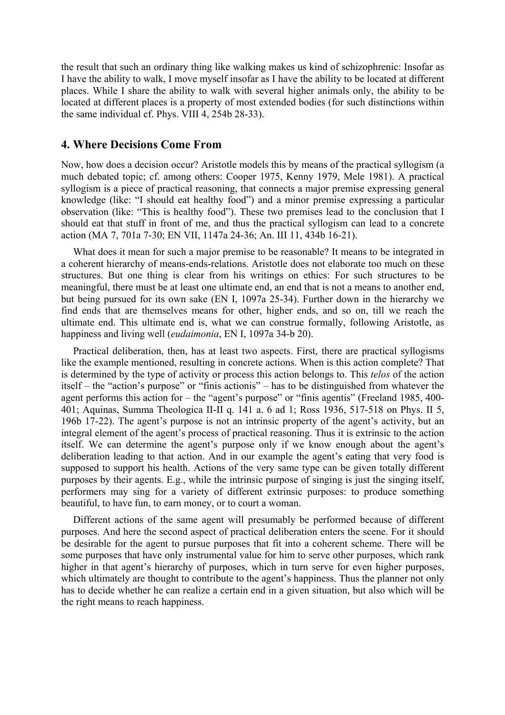the result that such an ordinary thing like walking makes us kind of schizophrenic: Insofar as I have the ability to walk, I move myself insofar as I have the ability to be located at different places. While I share the ability to walk with several higher animals only, the ability to be located at different places is a property of most extended bodies (for such distinctions within the same individual cf. Phys. VIII 4, 254b 28-33).

### **4. Where Decisions Come From**

Now, how does a decision occur? Aristotle models this by means of the practical syllogism (a much debated topic; cf. among others: Cooper 1975, Kenny 1979, Mele 1981). A practical syllogism is a piece of practical reasoning, that connects a major premise expressing general knowledge (like: "I should eat healthy food") and a minor premise expressing a particular observation (like: "This is healthy food"). These two premises lead to the conclusion that I should eat that stuff in front of me, and thus the practical syllogism can lead to a concrete action (MA 7, 701a 7-30; EN VII, 1147a 24-36; An. III 11, 434b 16-21).

What does it mean for such a major premise to be reasonable? It means to be integrated in a coherent hierarchy of means-ends-relations. Aristotle does not elaborate too much on these structures. But one thing is clear from his writings on ethics: For such structures to be meaningful, there must be at least one ultimate end, an end that is not a means to another end, but being pursued for its own sake (EN I, 1097a 25-34). Further down in the hierarchy we find ends that are themselves means for other, higher ends, and so on, till we reach the ultimate end. This ultimate end is, what we can construe formally, following Aristotle, as happiness and living well (*eudaimonia*, EN I, 1097a 34-b 20).

Practical deliberation, then, has at least two aspects. First, there are practical syllogisms like the example mentioned, resulting in concrete actions. When is this action complete? That is determined by the type of activity or process this action belongs to. This *telos* of the action itself – the "action's purpose" or "finis actionis" – has to be distinguished from whatever the agent performs this action for – the "agent's purpose" or "finis agentis" (Freeland 1985, 400- 401; Aquinas, Summa Theologica II-II q. 141 a. 6 ad 1; Ross 1936, 517-518 on Phys. II 5, 196b 17-22). The agent's purpose is not an intrinsic property of the agent's activity, but an integral element of the agent's process of practical reasoning. Thus it is extrinsic to the action itself. We can determine the agent's purpose only if we know enough about the agent's deliberation leading to that action. And in our example the agent's eating that very food is supposed to support his health. Actions of the very same type can be given totally different purposes by their agents. E.g., while the intrinsic purpose of singing is just the singing itself, performers may sing for a variety of different extrinsic purposes: to produce something beautiful, to have fun, to earn money, or to court a woman.

Different actions of the same agent will presumably be performed because of different purposes. And here the second aspect of practical deliberation enters the scene. For it should be desirable for the agent to pursue purposes that fit into a coherent scheme. There will be some purposes that have only instrumental value for him to serve other purposes, which rank higher in that agent's hierarchy of purposes, which in turn serve for even higher purposes, which ultimately are thought to contribute to the agent's happiness. Thus the planner not only has to decide whether he can realize a certain end in a given situation, but also which will be the right means to reach happiness.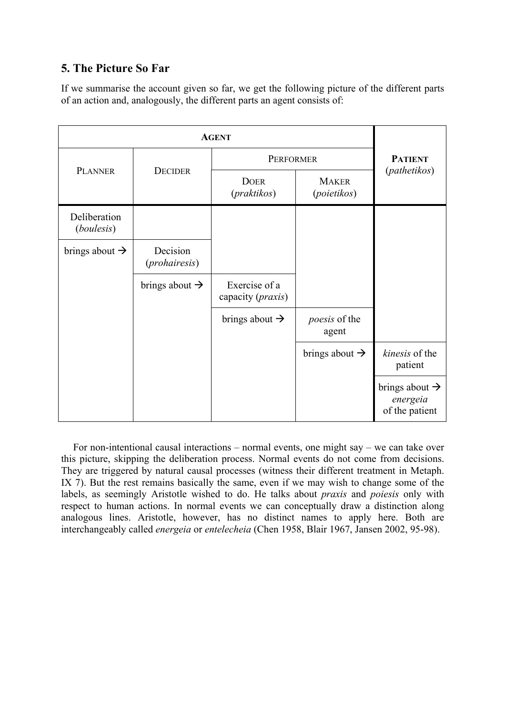# **5. The Picture So Far**

If we summarise the account given so far, we get the following picture of the different parts of an action and, analogously, the different parts an agent consists of:

| <b>PLANNER</b>                    | <b>DECIDER</b>             | PERFORMER                                   |                               | <b>PATIENT</b>                                           |
|-----------------------------------|----------------------------|---------------------------------------------|-------------------------------|----------------------------------------------------------|
|                                   |                            | <b>DOER</b><br>( <i>praktikos</i> )         | <b>MAKER</b><br>(poietikos)   | (pathetikos)                                             |
| Deliberation<br><i>(boulesis)</i> |                            |                                             |                               |                                                          |
| brings about $\rightarrow$        | Decision<br>(prohairesis)  |                                             |                               |                                                          |
|                                   | brings about $\rightarrow$ | Exercise of a<br>capacity ( <i>praxis</i> ) |                               |                                                          |
|                                   |                            | brings about $\rightarrow$                  | <i>poesis</i> of the<br>agent |                                                          |
|                                   |                            |                                             | brings about $\rightarrow$    | kinesis of the<br>patient                                |
|                                   |                            |                                             |                               | brings about $\rightarrow$<br>energeia<br>of the patient |

For non-intentional causal interactions – normal events, one might say – we can take over this picture, skipping the deliberation process. Normal events do not come from decisions. They are triggered by natural causal processes (witness their different treatment in Metaph. IX 7). But the rest remains basically the same, even if we may wish to change some of the labels, as seemingly Aristotle wished to do. He talks about *praxis* and *poiesis* only with respect to human actions. In normal events we can conceptually draw a distinction along analogous lines. Aristotle, however, has no distinct names to apply here. Both are interchangeably called *energeia* or *entelecheia* (Chen 1958, Blair 1967, Jansen 2002, 95-98).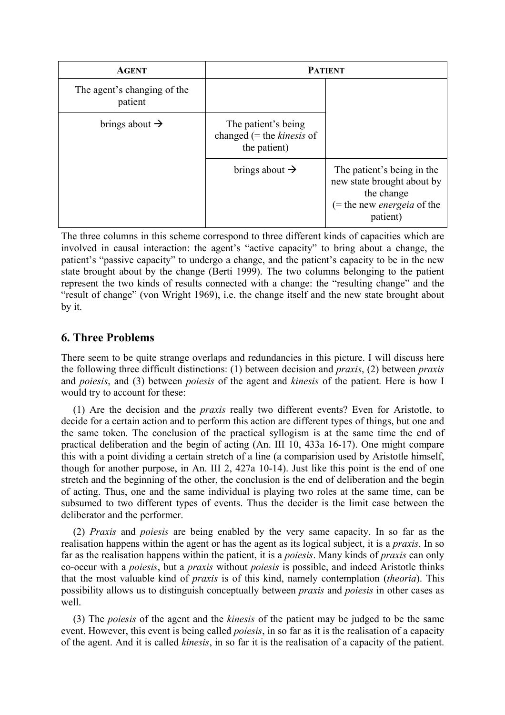| <b>AGENT</b>                           | <b>PATIENT</b>                                                            |                                                                                                                            |  |
|----------------------------------------|---------------------------------------------------------------------------|----------------------------------------------------------------------------------------------------------------------------|--|
| The agent's changing of the<br>patient |                                                                           |                                                                                                                            |  |
| brings about $\rightarrow$             | The patient's being<br>changed $(=$ the <i>kinesis</i> of<br>the patient) |                                                                                                                            |  |
|                                        | brings about $\rightarrow$                                                | The patient's being in the<br>new state brought about by<br>the change<br>$($ = the new <i>energeia</i> of the<br>patient) |  |

The three columns in this scheme correspond to three different kinds of capacities which are involved in causal interaction: the agent's "active capacity" to bring about a change, the patient's "passive capacity" to undergo a change, and the patient's capacity to be in the new state brought about by the change (Berti 1999). The two columns belonging to the patient represent the two kinds of results connected with a change: the "resulting change" and the "result of change" (von Wright 1969), i.e. the change itself and the new state brought about by it.

# **6. Three Problems**

There seem to be quite strange overlaps and redundancies in this picture. I will discuss here the following three difficult distinctions: (1) between decision and *praxis*, (2) between *praxis* and *poiesis*, and (3) between *poiesis* of the agent and *kinesis* of the patient. Here is how I would try to account for these:

(1) Are the decision and the *praxis* really two different events? Even for Aristotle, to decide for a certain action and to perform this action are different types of things, but one and the same token. The conclusion of the practical syllogism is at the same time the end of practical deliberation and the begin of acting (An. III 10, 433a 16-17). One might compare this with a point dividing a certain stretch of a line (a comparision used by Aristotle himself, though for another purpose, in An. III 2, 427a 10-14). Just like this point is the end of one stretch and the beginning of the other, the conclusion is the end of deliberation and the begin of acting. Thus, one and the same individual is playing two roles at the same time, can be subsumed to two different types of events. Thus the decider is the limit case between the deliberator and the performer.

(2) *Praxis* and *poiesis* are being enabled by the very same capacity. In so far as the realisation happens within the agent or has the agent as its logical subject, it is a *praxis*. In so far as the realisation happens within the patient, it is a *poiesis*. Many kinds of *praxis* can only co-occur with a *poiesis*, but a *praxis* without *poiesis* is possible, and indeed Aristotle thinks that the most valuable kind of *praxis* is of this kind, namely contemplation (*theoria*). This possibility allows us to distinguish conceptually between *praxis* and *poiesis* in other cases as well.

(3) The *poiesis* of the agent and the *kinesis* of the patient may be judged to be the same event. However, this event is being called *poiesis*, in so far as it is the realisation of a capacity of the agent. And it is called *kinesis*, in so far it is the realisation of a capacity of the patient.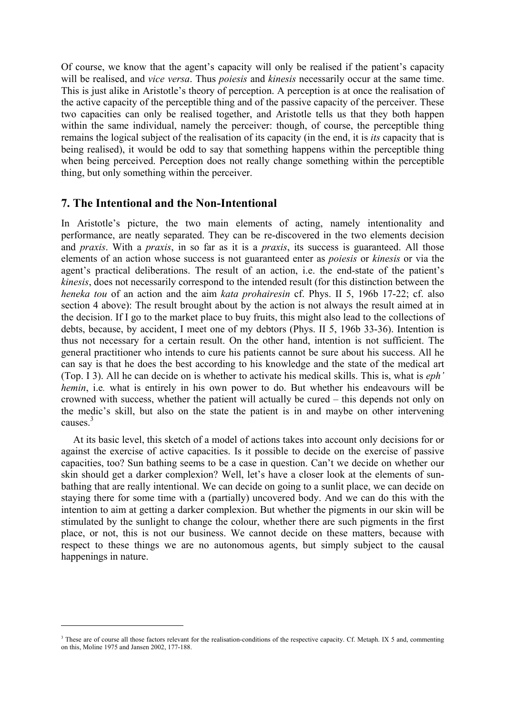Of course, we know that the agent's capacity will only be realised if the patient's capacity will be realised, and *vice versa*. Thus *poiesis* and *kinesis* necessarily occur at the same time. This is just alike in Aristotle's theory of perception. A perception is at once the realisation of the active capacity of the perceptible thing and of the passive capacity of the perceiver. These two capacities can only be realised together, and Aristotle tells us that they both happen within the same individual, namely the perceiver: though, of course, the perceptible thing remains the logical subject of the realisation of its capacity (in the end, it is *its* capacity that is being realised), it would be odd to say that something happens within the perceptible thing when being perceived. Perception does not really change something within the perceptible thing, but only something within the perceiver.

## **7. The Intentional and the Non-Intentional**

 $\overline{a}$ 

In Aristotle's picture, the two main elements of acting, namely intentionality and performance, are neatly separated. They can be re-discovered in the two elements decision and *praxis*. With a *praxis*, in so far as it is a *praxis*, its success is guaranteed. All those elements of an action whose success is not guaranteed enter as *poiesis* or *kinesis* or via the agent's practical deliberations. The result of an action, i.e. the end-state of the patient's *kinesis*, does not necessarily correspond to the intended result (for this distinction between the *heneka tou* of an action and the aim *kata prohairesin* cf. Phys. II 5, 196b 17-22; cf. also section 4 above): The result brought about by the action is not always the result aimed at in the decision. If I go to the market place to buy fruits, this might also lead to the collections of debts, because, by accident, I meet one of my debtors (Phys. II 5, 196b 33-36). Intention is thus not necessary for a certain result. On the other hand, intention is not sufficient. The general practitioner who intends to cure his patients cannot be sure about his success. All he can say is that he does the best according to his knowledge and the state of the medical art (Top. I 3). All he can decide on is whether to activate his medical skills. This is, what is *eph' hemin*, i.e*.* what is entirely in his own power to do. But whether his endeavours will be crowned with success, whether the patient will actually be cured – this depends not only on the medic's skill, but also on the state the patient is in and maybe on other intervening causes<sup>3</sup>

At its basic level, this sketch of a model of actions takes into account only decisions for or against the exercise of active capacities. Is it possible to decide on the exercise of passive capacities, too? Sun bathing seems to be a case in question. Can't we decide on whether our skin should get a darker complexion? Well, let's have a closer look at the elements of sunbathing that are really intentional. We can decide on going to a sunlit place, we can decide on staying there for some time with a (partially) uncovered body. And we can do this with the intention to aim at getting a darker complexion. But whether the pigments in our skin will be stimulated by the sunlight to change the colour, whether there are such pigments in the first place, or not, this is not our business. We cannot decide on these matters, because with respect to these things we are no autonomous agents, but simply subject to the causal happenings in nature.

<sup>&</sup>lt;sup>3</sup> These are of course all those factors relevant for the realisation-conditions of the respective capacity. Cf. Metaph. IX 5 and, commenting on this, Moline 1975 and Jansen 2002, 177-188.